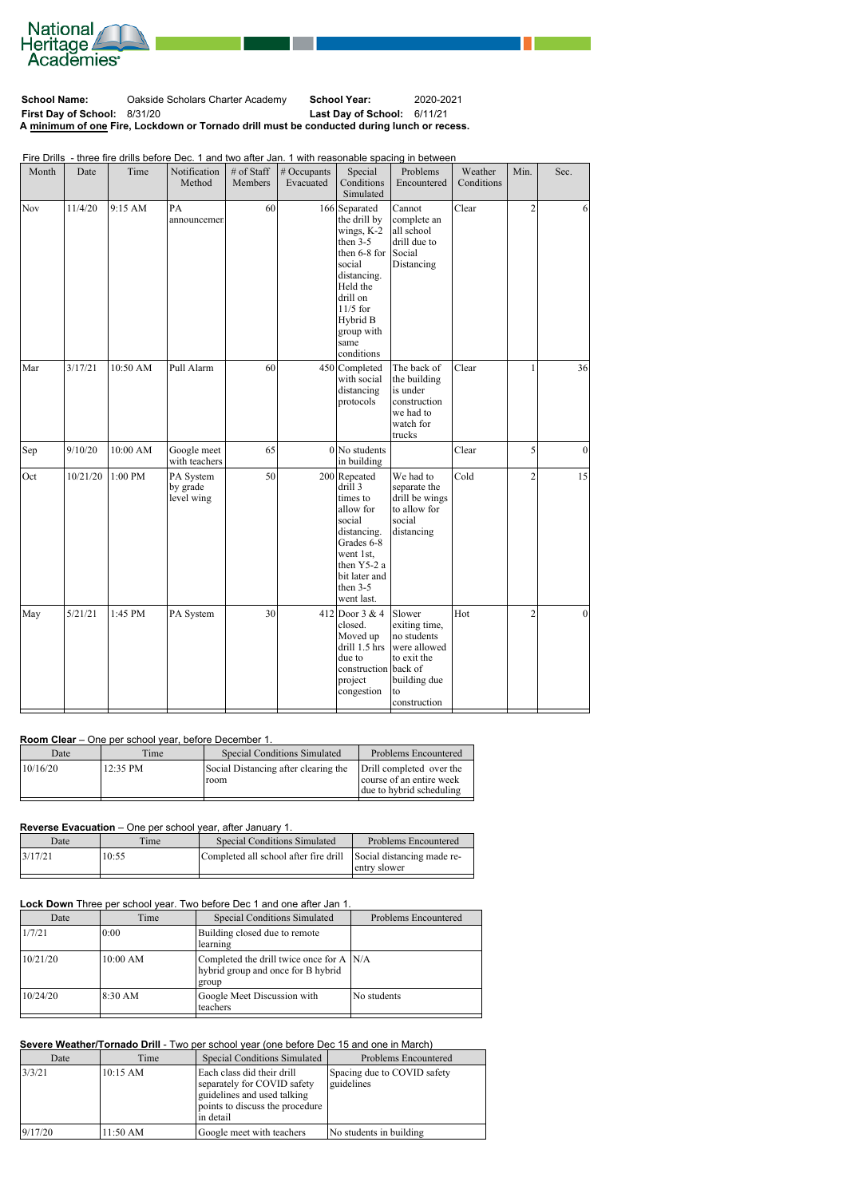

**School Name:** Oakside Scholars Charter Academy **School Year:** 2020-2021 **First Day of School:** 8/31/20 **Last Day of School:** 6/11/21 **A minimum of one Fire, Lockdown or Tornado drill must be conducted during lunch or recess.**

Fire Drills - three fire drills before Dec. 1 and two after Jan. 1 with reasonable spacing in between

| Month | Date     | Time     | Notification<br>Method              | # of Staff<br>Members | # Occupants<br>Evacuated | Special<br>Conditions<br>Simulated                                                                                                                                                       | Problems<br>Encountered                                                                           | Weather<br>Conditions | Min.           | Sec.            |
|-------|----------|----------|-------------------------------------|-----------------------|--------------------------|------------------------------------------------------------------------------------------------------------------------------------------------------------------------------------------|---------------------------------------------------------------------------------------------------|-----------------------|----------------|-----------------|
| Nov   | 11/4/20  | 9:15 AM  | PA<br>announcemen                   | 60                    |                          | 166 Separated<br>the drill by<br>wings, K-2<br>then $3-5$<br>then 6-8 for<br>social<br>distancing.<br>Held the<br>drill on<br>$11/5$ for<br>Hybrid B<br>group with<br>same<br>conditions | Cannot<br>complete an<br>all school<br>drill due to<br>Social<br>Distancing                       | Clear                 | $\overline{2}$ | 6               |
| Mar   | 3/17/21  | 10:50 AM | Pull Alarm                          | 60                    |                          | 450 Completed<br>with social<br>distancing<br>protocols                                                                                                                                  | The back of<br>the building<br>is under<br>construction<br>we had to<br>watch for<br>trucks       | Clear                 | 1              | 36              |
| Sep   | 9/10/20  | 10:00 AM | Google meet<br>with teachers        | 65                    |                          | $0 $ No students<br>in building                                                                                                                                                          |                                                                                                   | Clear                 | 5              | $\vert 0 \vert$ |
| Oct   | 10/21/20 | 1:00 PM  | PA System<br>by grade<br>level wing | 50                    |                          | $200$ Repeated<br>drill 3<br>times to<br>allow for<br>social<br>distancing.<br>Grades 6-8<br>went 1st,<br>then Y5-2 a<br>bit later and<br>then $3-5$<br>went last.                       | We had to<br>separate the<br>drill be wings<br>to allow for<br>social<br>distancing               | Cold                  | $\overline{2}$ | 15              |
| May   | 5/21/21  | 1:45 PM  | PA System                           | 30                    |                          | 412 Door 3 & 4 Slower<br>closed.<br>Moved up<br>drill 1.5 hrs<br>due to<br>construction back of<br>project<br>congestion                                                                 | exiting time,<br>no students<br>were allowed<br>to exit the<br>building due<br>to<br>construction | Hot                   | $\overline{2}$ | $\Omega$        |

## **Room Clear** – One per school year, before December 1.

| 12:35 PM<br>10/16/20<br>Social Distancing after clearing the<br>Drill completed over the<br>course of an entire week<br>room | Date | Time | <b>Special Conditions Simulated</b> | Problems Encountered     |
|------------------------------------------------------------------------------------------------------------------------------|------|------|-------------------------------------|--------------------------|
|                                                                                                                              |      |      |                                     | due to hybrid scheduling |

### **Reverse Evacuation** – One per school year, after January 1.

| Completed all school after fire drill Social distancing made re-<br>10:55<br>3/17/21 | Date | Time | <b>Special Conditions Simulated</b> | Problems Encountered |
|--------------------------------------------------------------------------------------|------|------|-------------------------------------|----------------------|
|                                                                                      |      |      |                                     | entry slower         |

## Lock Down Three per school year. Two before Dec 1 and one after Jan 1.

| Date     | Time     | Special Conditions Simulated                                                              | Problems Encountered |
|----------|----------|-------------------------------------------------------------------------------------------|----------------------|
| 1/7/21   | 0:00     | Building closed due to remote<br>learning                                                 |                      |
| 10/21/20 | 10:00 AM | Completed the drill twice once for A $N/A$<br>hybrid group and once for B hybrid<br>group |                      |
| 10/24/20 | 18:30 AM | Google Meet Discussion with<br>teachers                                                   | No students          |

## **Severe Weather/Tornado Drill** - Two per school year (one before Dec 15 and one in March)

| Date    | Time               | <b>Special Conditions Simulated</b>                                                                                                       | Problems Encountered                      |
|---------|--------------------|-------------------------------------------------------------------------------------------------------------------------------------------|-------------------------------------------|
| 3/3/21  | $10:15$ AM         | Each class did their drill<br>separately for COVID safety<br>guidelines and used talking<br>points to discuss the procedure<br>lin detail | Spacing due to COVID safety<br>guidelines |
| 9/17/20 | $11:50 \text{ AM}$ | Google meet with teachers                                                                                                                 | No students in building                   |